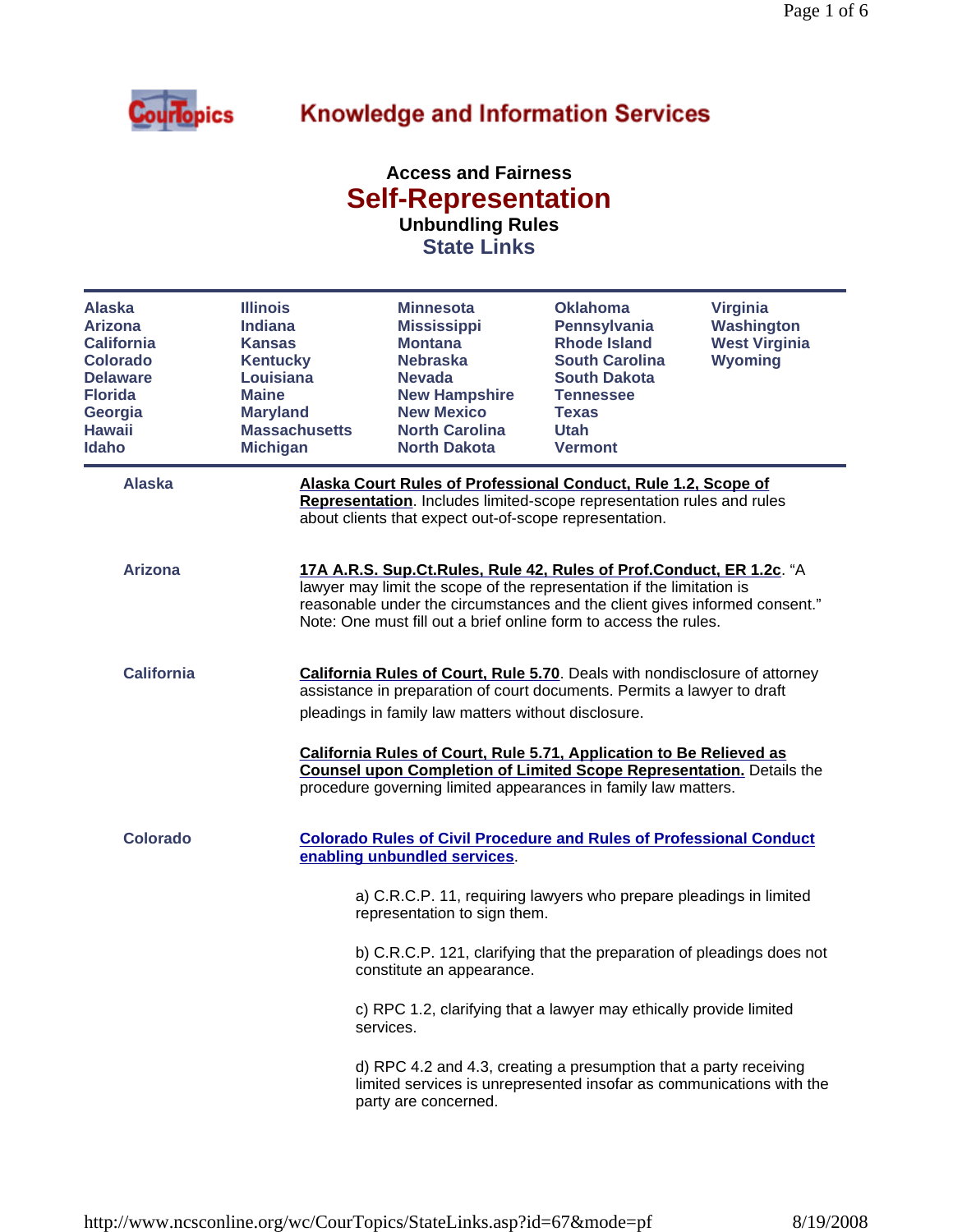

## **Knowledge and Information Services**

## **Access and Fairness Self-Representation Unbundling Rules**

**State Links**

| <b>Alaska</b><br><b>Arizona</b><br><b>California</b><br><b>Colorado</b><br><b>Delaware</b><br><b>Florida</b><br>Georgia<br><b>Hawaii</b><br><b>Idaho</b> | <b>Illinois</b><br><b>Indiana</b><br><b>Kansas</b><br><b>Kentucky</b><br>Louisiana<br><b>Maine</b><br><b>Maryland</b><br><b>Massachusetts</b><br><b>Michigan</b> | <b>Minnesota</b><br><b>Mississippi</b><br><b>Montana</b><br><b>Nebraska</b><br><b>Nevada</b><br><b>New Hampshire</b><br><b>New Mexico</b><br><b>North Carolina</b><br><b>North Dakota</b>                                                                                                                                                                                                                                                   | <b>Oklahoma</b><br>Pennsylvania<br><b>Rhode Island</b><br><b>South Carolina</b><br><b>South Dakota</b><br><b>Tennessee</b><br><b>Texas</b><br><b>Utah</b><br><b>Vermont</b> | <b>Virginia</b><br>Washington<br><b>West Virginia</b><br><b>Wyoming</b> |
|----------------------------------------------------------------------------------------------------------------------------------------------------------|------------------------------------------------------------------------------------------------------------------------------------------------------------------|---------------------------------------------------------------------------------------------------------------------------------------------------------------------------------------------------------------------------------------------------------------------------------------------------------------------------------------------------------------------------------------------------------------------------------------------|-----------------------------------------------------------------------------------------------------------------------------------------------------------------------------|-------------------------------------------------------------------------|
| <b>Alaska</b>                                                                                                                                            |                                                                                                                                                                  | Alaska Court Rules of Professional Conduct, Rule 1.2, Scope of<br>Representation. Includes limited-scope representation rules and rules<br>about clients that expect out-of-scope representation.                                                                                                                                                                                                                                           |                                                                                                                                                                             |                                                                         |
| <b>Arizona</b>                                                                                                                                           |                                                                                                                                                                  | 17A A.R.S. Sup.Ct.Rules, Rule 42, Rules of Prof.Conduct, ER 1.2c. "A<br>lawyer may limit the scope of the representation if the limitation is<br>reasonable under the circumstances and the client gives informed consent."<br>Note: One must fill out a brief online form to access the rules.                                                                                                                                             |                                                                                                                                                                             |                                                                         |
| <b>California</b>                                                                                                                                        |                                                                                                                                                                  | <b>California Rules of Court, Rule 5.70.</b> Deals with nondisclosure of attorney<br>assistance in preparation of court documents. Permits a lawyer to draft<br>pleadings in family law matters without disclosure.<br>California Rules of Court, Rule 5.71, Application to Be Relieved as<br><b>Counsel upon Completion of Limited Scope Representation.</b> Details the<br>procedure governing limited appearances in family law matters. |                                                                                                                                                                             |                                                                         |
| <b>Colorado</b>                                                                                                                                          |                                                                                                                                                                  | <b>Colorado Rules of Civil Procedure and Rules of Professional Conduct</b><br>enabling unbundled services.                                                                                                                                                                                                                                                                                                                                  |                                                                                                                                                                             |                                                                         |
|                                                                                                                                                          |                                                                                                                                                                  | a) C.R.C.P. 11, requiring lawyers who prepare pleadings in limited<br>representation to sign them.                                                                                                                                                                                                                                                                                                                                          |                                                                                                                                                                             |                                                                         |
|                                                                                                                                                          |                                                                                                                                                                  | b) C.R.C.P. 121, clarifying that the preparation of pleadings does not<br>constitute an appearance.                                                                                                                                                                                                                                                                                                                                         |                                                                                                                                                                             |                                                                         |
|                                                                                                                                                          |                                                                                                                                                                  | c) RPC 1.2, clarifying that a lawyer may ethically provide limited<br>services.                                                                                                                                                                                                                                                                                                                                                             |                                                                                                                                                                             |                                                                         |
|                                                                                                                                                          |                                                                                                                                                                  | d) RPC 4.2 and 4.3, creating a presumption that a party receiving<br>limited services is unrepresented insofar as communications with the<br>party are concerned.                                                                                                                                                                                                                                                                           |                                                                                                                                                                             |                                                                         |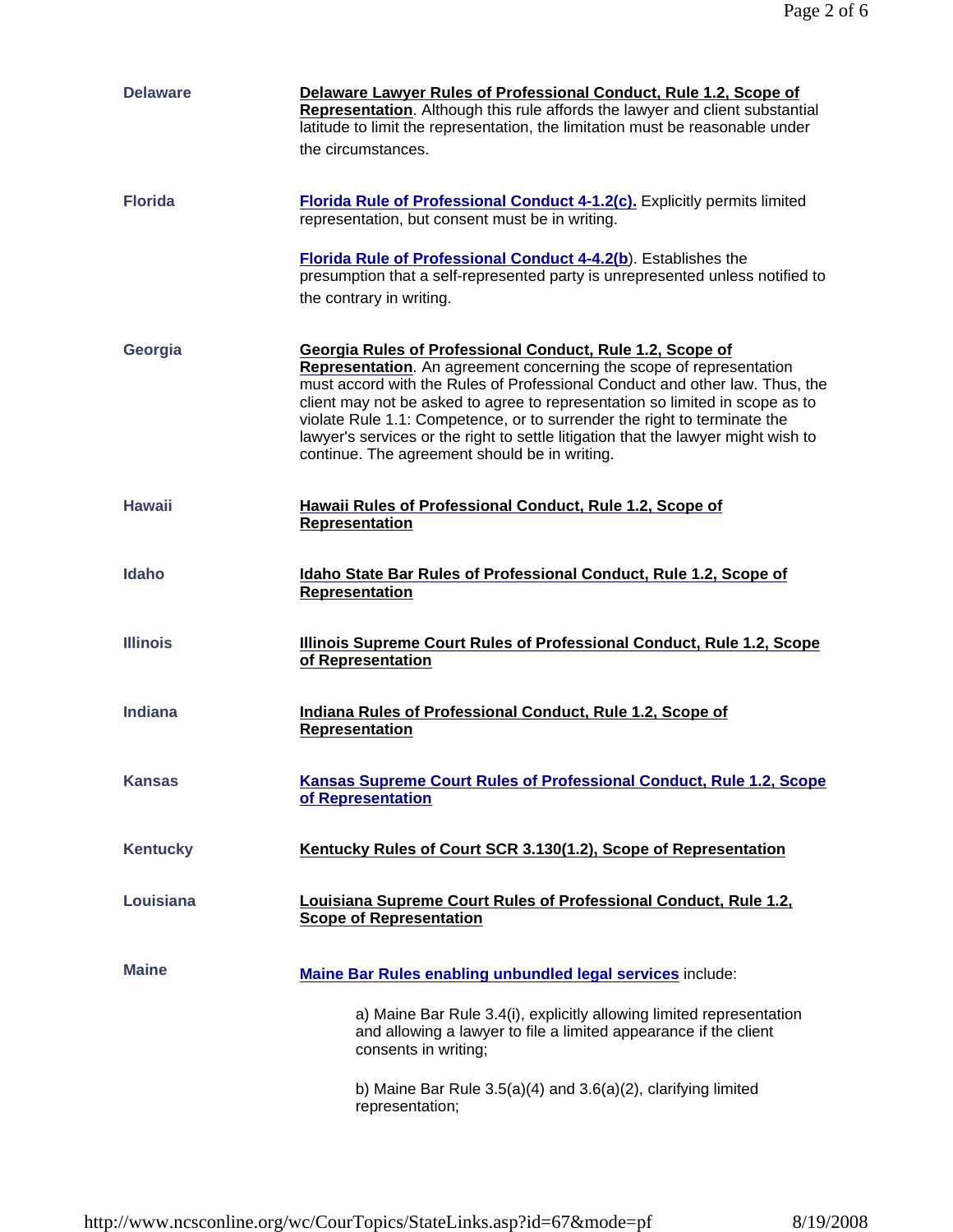| <b>Delaware</b> | Delaware Lawyer Rules of Professional Conduct, Rule 1.2, Scope of<br>Representation. Although this rule affords the lawyer and client substantial<br>latitude to limit the representation, the limitation must be reasonable under<br>the circumstances.                                                                                                                                                                                                                                                          |
|-----------------|-------------------------------------------------------------------------------------------------------------------------------------------------------------------------------------------------------------------------------------------------------------------------------------------------------------------------------------------------------------------------------------------------------------------------------------------------------------------------------------------------------------------|
| <b>Florida</b>  | <b>Florida Rule of Professional Conduct 4-1.2(c).</b> Explicitly permits limited<br>representation, but consent must be in writing.                                                                                                                                                                                                                                                                                                                                                                               |
|                 | <b>Florida Rule of Professional Conduct 4-4.2(b)</b> . Establishes the<br>presumption that a self-represented party is unrepresented unless notified to<br>the contrary in writing.                                                                                                                                                                                                                                                                                                                               |
| Georgia         | Georgia Rules of Professional Conduct, Rule 1.2, Scope of<br>Representation. An agreement concerning the scope of representation<br>must accord with the Rules of Professional Conduct and other law. Thus, the<br>client may not be asked to agree to representation so limited in scope as to<br>violate Rule 1.1: Competence, or to surrender the right to terminate the<br>lawyer's services or the right to settle litigation that the lawyer might wish to<br>continue. The agreement should be in writing. |
| <b>Hawaii</b>   | Hawaii Rules of Professional Conduct, Rule 1.2, Scope of<br><b>Representation</b>                                                                                                                                                                                                                                                                                                                                                                                                                                 |
| <b>Idaho</b>    | Idaho State Bar Rules of Professional Conduct, Rule 1.2, Scope of<br>Representation                                                                                                                                                                                                                                                                                                                                                                                                                               |
| <b>Illinois</b> | Illinois Supreme Court Rules of Professional Conduct, Rule 1.2, Scope<br>of Representation                                                                                                                                                                                                                                                                                                                                                                                                                        |
| Indiana         | <b>Indiana Rules of Professional Conduct, Rule 1.2, Scope of</b><br>Representation                                                                                                                                                                                                                                                                                                                                                                                                                                |
| Kansas          | <b>Kansas Supreme Court Rules of Professional Conduct, Rule 1.2, Scope</b><br>of Representation                                                                                                                                                                                                                                                                                                                                                                                                                   |
| <b>Kentucky</b> | Kentucky Rules of Court SCR 3.130(1.2), Scope of Representation                                                                                                                                                                                                                                                                                                                                                                                                                                                   |
| Louisiana       | Louisiana Supreme Court Rules of Professional Conduct, Rule 1.2,<br><b>Scope of Representation</b>                                                                                                                                                                                                                                                                                                                                                                                                                |
| <b>Maine</b>    | Maine Bar Rules enabling unbundled legal services include:                                                                                                                                                                                                                                                                                                                                                                                                                                                        |
|                 | a) Maine Bar Rule 3.4(i), explicitly allowing limited representation<br>and allowing a lawyer to file a limited appearance if the client<br>consents in writing;                                                                                                                                                                                                                                                                                                                                                  |
|                 | b) Maine Bar Rule $3.5(a)(4)$ and $3.6(a)(2)$ , clarifying limited<br>representation;                                                                                                                                                                                                                                                                                                                                                                                                                             |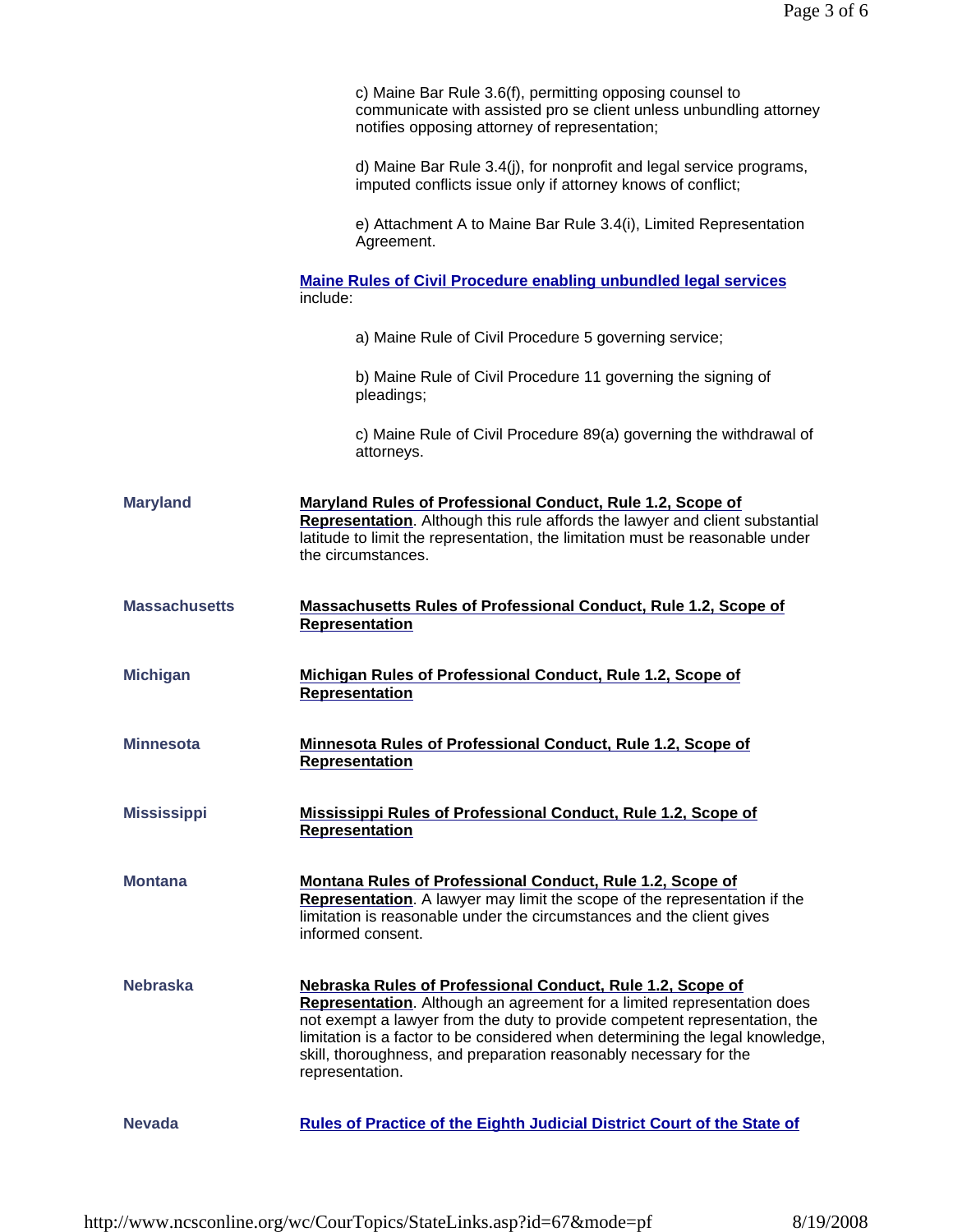|                      | c) Maine Bar Rule 3.6(f), permitting opposing counsel to<br>communicate with assisted pro se client unless unbundling attorney<br>notifies opposing attorney of representation;                                                                                                                                                                                                                     |
|----------------------|-----------------------------------------------------------------------------------------------------------------------------------------------------------------------------------------------------------------------------------------------------------------------------------------------------------------------------------------------------------------------------------------------------|
|                      | d) Maine Bar Rule 3.4(j), for nonprofit and legal service programs,<br>imputed conflicts issue only if attorney knows of conflict;                                                                                                                                                                                                                                                                  |
|                      | e) Attachment A to Maine Bar Rule 3.4(i), Limited Representation<br>Agreement.                                                                                                                                                                                                                                                                                                                      |
|                      | <b>Maine Rules of Civil Procedure enabling unbundled legal services</b><br>include:                                                                                                                                                                                                                                                                                                                 |
|                      | a) Maine Rule of Civil Procedure 5 governing service;                                                                                                                                                                                                                                                                                                                                               |
|                      | b) Maine Rule of Civil Procedure 11 governing the signing of<br>pleadings;                                                                                                                                                                                                                                                                                                                          |
|                      | c) Maine Rule of Civil Procedure 89(a) governing the withdrawal of<br>attorneys.                                                                                                                                                                                                                                                                                                                    |
| <b>Maryland</b>      | Maryland Rules of Professional Conduct, Rule 1.2, Scope of<br>Representation. Although this rule affords the lawyer and client substantial<br>latitude to limit the representation, the limitation must be reasonable under<br>the circumstances.                                                                                                                                                   |
| <b>Massachusetts</b> | <b>Massachusetts Rules of Professional Conduct, Rule 1.2, Scope of</b><br><b>Representation</b>                                                                                                                                                                                                                                                                                                     |
| <b>Michigan</b>      | Michigan Rules of Professional Conduct, Rule 1.2, Scope of<br>Representation                                                                                                                                                                                                                                                                                                                        |
| Minnesota            | Minnesota Rules of Professional Conduct, Rule 1.2, Scope of<br>Representation                                                                                                                                                                                                                                                                                                                       |
| <b>Mississippi</b>   | <b>Mississippi Rules of Professional Conduct, Rule 1.2, Scope of</b><br><b>Representation</b>                                                                                                                                                                                                                                                                                                       |
| <b>Montana</b>       | Montana Rules of Professional Conduct, Rule 1.2, Scope of<br>Representation. A lawyer may limit the scope of the representation if the<br>limitation is reasonable under the circumstances and the client gives<br>informed consent.                                                                                                                                                                |
| <b>Nebraska</b>      | Nebraska Rules of Professional Conduct, Rule 1.2, Scope of<br><b>Representation.</b> Although an agreement for a limited representation does<br>not exempt a lawyer from the duty to provide competent representation, the<br>limitation is a factor to be considered when determining the legal knowledge,<br>skill, thoroughness, and preparation reasonably necessary for the<br>representation. |
| <b>Nevada</b>        | <b>Rules of Practice of the Eighth Judicial District Court of the State of</b>                                                                                                                                                                                                                                                                                                                      |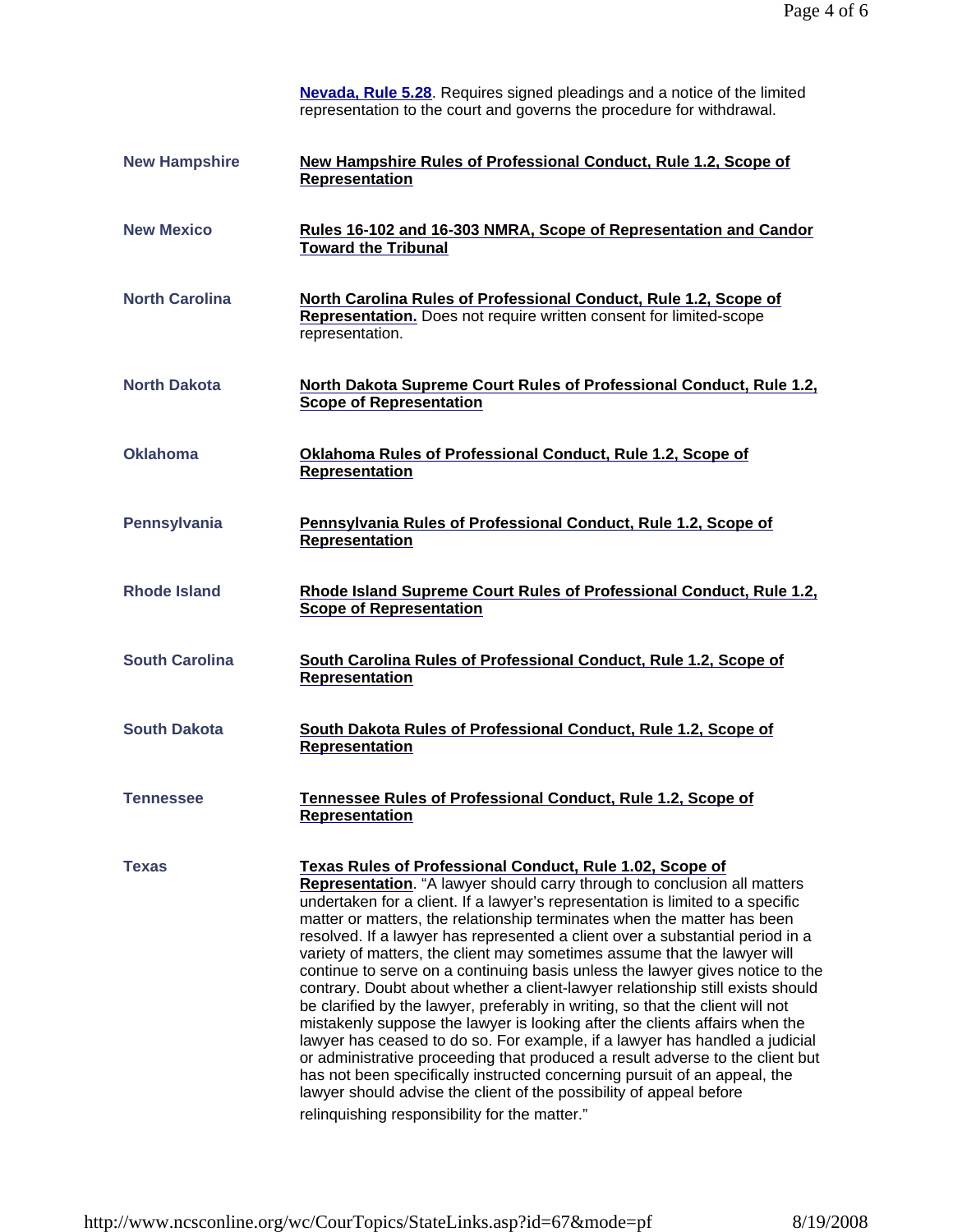|                       | <b>Nevada, Rule 5.28.</b> Requires signed pleadings and a notice of the limited<br>representation to the court and governs the procedure for withdrawal.                                                                                                                                                                                                                                                                                                                                                                                                                                                                                                                                                                                                                                                                                                                                                                                                                                                                                                                                                                                                                       |
|-----------------------|--------------------------------------------------------------------------------------------------------------------------------------------------------------------------------------------------------------------------------------------------------------------------------------------------------------------------------------------------------------------------------------------------------------------------------------------------------------------------------------------------------------------------------------------------------------------------------------------------------------------------------------------------------------------------------------------------------------------------------------------------------------------------------------------------------------------------------------------------------------------------------------------------------------------------------------------------------------------------------------------------------------------------------------------------------------------------------------------------------------------------------------------------------------------------------|
| <b>New Hampshire</b>  | <b>New Hampshire Rules of Professional Conduct, Rule 1.2, Scope of</b><br>Representation                                                                                                                                                                                                                                                                                                                                                                                                                                                                                                                                                                                                                                                                                                                                                                                                                                                                                                                                                                                                                                                                                       |
| <b>New Mexico</b>     | Rules 16-102 and 16-303 NMRA, Scope of Representation and Candor<br><b>Toward the Tribunal</b>                                                                                                                                                                                                                                                                                                                                                                                                                                                                                                                                                                                                                                                                                                                                                                                                                                                                                                                                                                                                                                                                                 |
| <b>North Carolina</b> | North Carolina Rules of Professional Conduct, Rule 1.2, Scope of<br><b>Representation.</b> Does not require written consent for limited-scope<br>representation.                                                                                                                                                                                                                                                                                                                                                                                                                                                                                                                                                                                                                                                                                                                                                                                                                                                                                                                                                                                                               |
| <b>North Dakota</b>   | North Dakota Supreme Court Rules of Professional Conduct, Rule 1.2,<br><b>Scope of Representation</b>                                                                                                                                                                                                                                                                                                                                                                                                                                                                                                                                                                                                                                                                                                                                                                                                                                                                                                                                                                                                                                                                          |
| <b>Oklahoma</b>       | Oklahoma Rules of Professional Conduct, Rule 1.2, Scope of<br><b>Representation</b>                                                                                                                                                                                                                                                                                                                                                                                                                                                                                                                                                                                                                                                                                                                                                                                                                                                                                                                                                                                                                                                                                            |
| <b>Pennsylvania</b>   | Pennsylvania Rules of Professional Conduct, Rule 1.2, Scope of<br><b>Representation</b>                                                                                                                                                                                                                                                                                                                                                                                                                                                                                                                                                                                                                                                                                                                                                                                                                                                                                                                                                                                                                                                                                        |
| <b>Rhode Island</b>   | Rhode Island Supreme Court Rules of Professional Conduct, Rule 1.2,<br><b>Scope of Representation</b>                                                                                                                                                                                                                                                                                                                                                                                                                                                                                                                                                                                                                                                                                                                                                                                                                                                                                                                                                                                                                                                                          |
| <b>South Carolina</b> | South Carolina Rules of Professional Conduct, Rule 1.2, Scope of<br><b>Representation</b>                                                                                                                                                                                                                                                                                                                                                                                                                                                                                                                                                                                                                                                                                                                                                                                                                                                                                                                                                                                                                                                                                      |
| <b>South Dakota</b>   | South Dakota Rules of Professional Conduct, Rule 1.2, Scope of<br><b>Representation</b>                                                                                                                                                                                                                                                                                                                                                                                                                                                                                                                                                                                                                                                                                                                                                                                                                                                                                                                                                                                                                                                                                        |
| <b>Tennessee</b>      | Tennessee Rules of Professional Conduct, Rule 1.2, Scope of<br><b>Representation</b>                                                                                                                                                                                                                                                                                                                                                                                                                                                                                                                                                                                                                                                                                                                                                                                                                                                                                                                                                                                                                                                                                           |
| <b>Texas</b>          | <b>Texas Rules of Professional Conduct, Rule 1.02, Scope of</b><br>Representation. "A lawyer should carry through to conclusion all matters<br>undertaken for a client. If a lawyer's representation is limited to a specific<br>matter or matters, the relationship terminates when the matter has been<br>resolved. If a lawyer has represented a client over a substantial period in a<br>variety of matters, the client may sometimes assume that the lawyer will<br>continue to serve on a continuing basis unless the lawyer gives notice to the<br>contrary. Doubt about whether a client-lawyer relationship still exists should<br>be clarified by the lawyer, preferably in writing, so that the client will not<br>mistakenly suppose the lawyer is looking after the clients affairs when the<br>lawyer has ceased to do so. For example, if a lawyer has handled a judicial<br>or administrative proceeding that produced a result adverse to the client but<br>has not been specifically instructed concerning pursuit of an appeal, the<br>lawyer should advise the client of the possibility of appeal before<br>relinquishing responsibility for the matter." |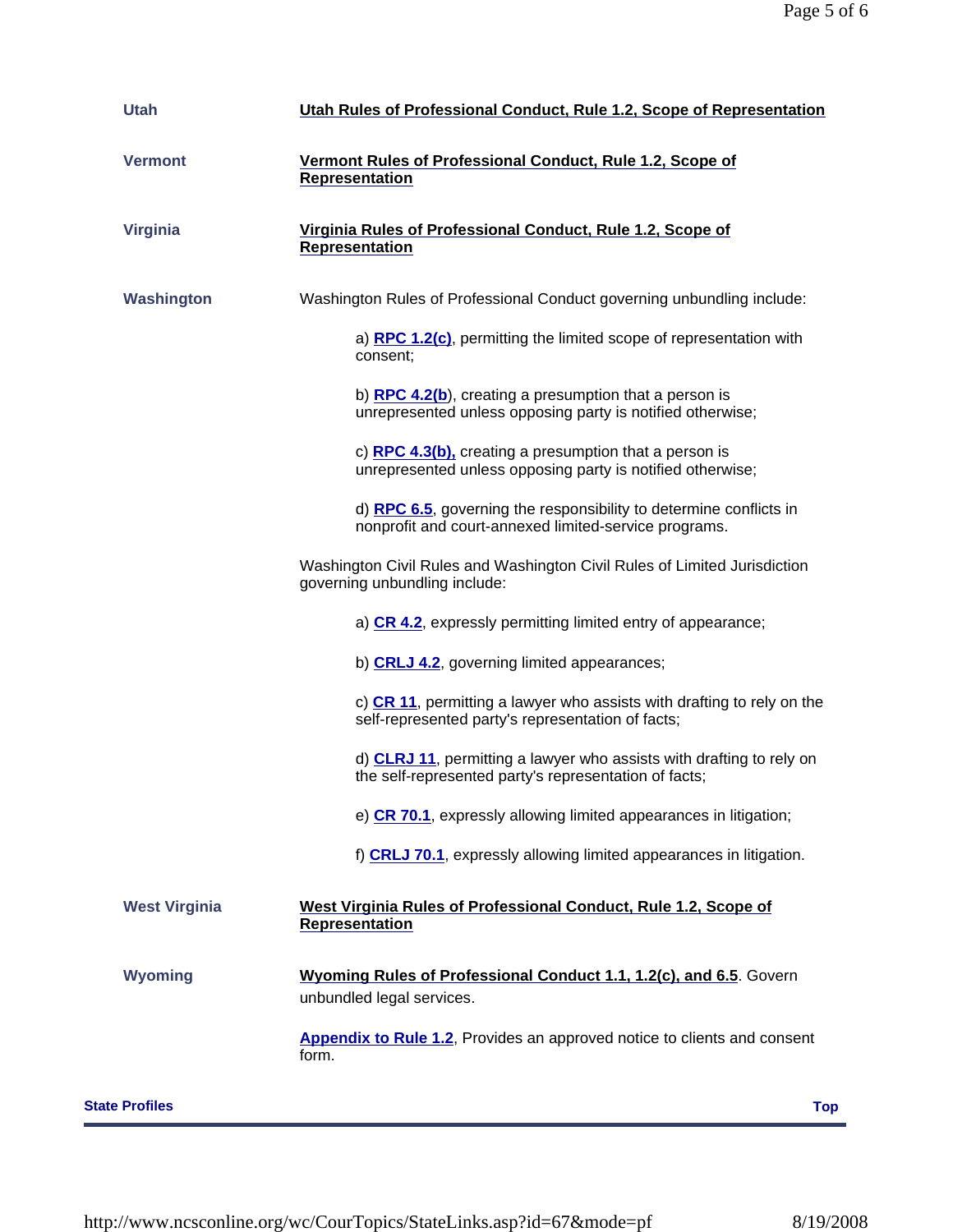| <b>Utah</b>           | Utah Rules of Professional Conduct, Rule 1.2, Scope of Representation                                                         |  |
|-----------------------|-------------------------------------------------------------------------------------------------------------------------------|--|
| <b>Vermont</b>        | Vermont Rules of Professional Conduct, Rule 1.2, Scope of<br><b>Representation</b>                                            |  |
| <b>Virginia</b>       | Virginia Rules of Professional Conduct, Rule 1.2, Scope of<br><b>Representation</b>                                           |  |
| Washington            | Washington Rules of Professional Conduct governing unbundling include:                                                        |  |
|                       | a) RPC 1.2(c), permitting the limited scope of representation with<br>consent;                                                |  |
|                       | b) $RPC$ 4.2(b), creating a presumption that a person is<br>unrepresented unless opposing party is notified otherwise;        |  |
|                       | c) $RPC$ 4.3(b), creating a presumption that a person is<br>unrepresented unless opposing party is notified otherwise;        |  |
|                       | d) RPC 6.5, governing the responsibility to determine conflicts in<br>nonprofit and court-annexed limited-service programs.   |  |
|                       | Washington Civil Rules and Washington Civil Rules of Limited Jurisdiction<br>governing unbundling include:                    |  |
|                       | a) CR 4.2, expressly permitting limited entry of appearance;                                                                  |  |
|                       | b) CRLJ 4.2, governing limited appearances;                                                                                   |  |
|                       | c) $CR$ 11, permitting a lawyer who assists with drafting to rely on the<br>self-represented party's representation of facts; |  |
|                       | d) CLRJ 11, permitting a lawyer who assists with drafting to rely on<br>the self-represented party's representation of facts; |  |
|                       | e) CR 70.1, expressly allowing limited appearances in litigation;                                                             |  |
|                       | f) CRLJ 70.1, expressly allowing limited appearances in litigation.                                                           |  |
| <b>West Virginia</b>  | West Virginia Rules of Professional Conduct, Rule 1.2, Scope of<br><b>Representation</b>                                      |  |
| <b>Wyoming</b>        | Wyoming Rules of Professional Conduct 1.1, 1.2(c), and 6.5. Govern<br>unbundled legal services.                               |  |
|                       | <b>Appendix to Rule 1.2, Provides an approved notice to clients and consent</b><br>form.                                      |  |
| <b>State Profiles</b> | <b>Top</b>                                                                                                                    |  |
|                       |                                                                                                                               |  |

http://www.ncsconline.org/wc/CourTopics/StateLinks.asp?id=67&mode=pf 8/19/2008